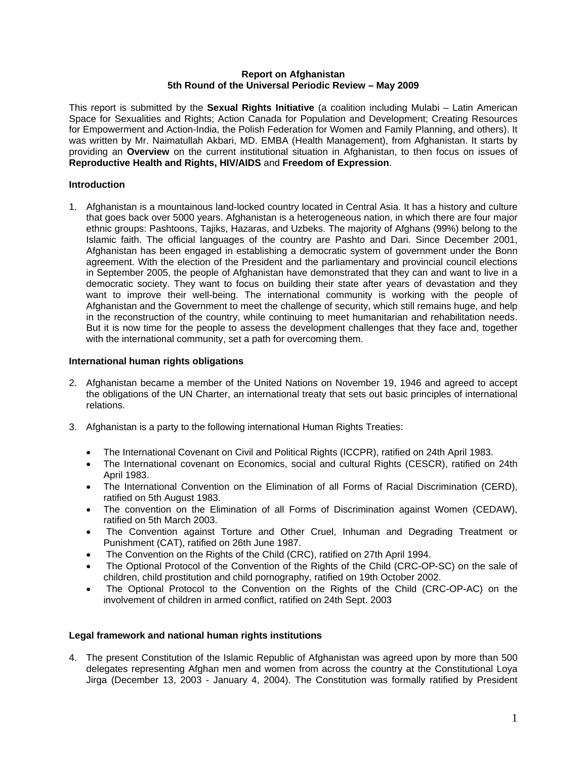#### **Report on Afghanistan 5th Round of the Universal Periodic Review – May 2009**

This report is submitted by the **Sexual Rights Initiative** (a coalition including Mulabi – Latin American Space for Sexualities and Rights; Action Canada for Population and Development; Creating Resources for Empowerment and Action-India, the Polish Federation for Women and Family Planning, and others). It was written by Mr. Naimatullah Akbari, MD. EMBA (Health Management), from Afghanistan. It starts by providing an **Overview** on the current institutional situation in Afghanistan, to then focus on issues of **Reproductive Health and Rights, HIV/AIDS** and **Freedom of Expression**.

# **Introduction**

1. Afghanistan is a mountainous land-locked country located in Central Asia. It has a history and culture that goes back over 5000 years. Afghanistan is a heterogeneous nation, in which there are four major ethnic groups: Pashtoons, Tajiks, Hazaras, and Uzbeks. The majority of Afghans (99%) belong to the Islamic faith. The official languages of the country are Pashto and Dari. Since December 2001, Afghanistan has been engaged in establishing a democratic system of government under the Bonn agreement. With the election of the President and the parliamentary and provincial council elections in September 2005, the people of Afghanistan have demonstrated that they can and want to live in a democratic society. They want to focus on building their state after years of devastation and they want to improve their well-being. The international community is working with the people of Afghanistan and the Government to meet the challenge of security, which still remains huge, and help in the reconstruction of the country, while continuing to meet humanitarian and rehabilitation needs. But it is now time for the people to assess the development challenges that they face and, together with the international community, set a path for overcoming them.

#### **International human rights obligations**

- 2. Afghanistan became a member of the United Nations on November 19, 1946 and agreed to accept the obligations of the UN Charter, an international treaty that sets out basic principles of international relations.
- 3. Afghanistan is a party to the following international Human Rights Treaties:
	- The International Covenant on Civil and Political Rights (ICCPR), ratified on 24th April 1983.
	- The International covenant on Economics, social and cultural Rights (CESCR), ratified on 24th April 1983.
	- The International Convention on the Elimination of all Forms of Racial Discrimination (CERD), ratified on 5th August 1983.
	- The convention on the Elimination of all Forms of Discrimination against Women (CEDAW), ratified on 5th March 2003.
	- The Convention against Torture and Other Cruel, Inhuman and Degrading Treatment or Punishment (CAT), ratified on 26th June 1987.
	- The Convention on the Rights of the Child (CRC), ratified on 27th April 1994.
	- The Optional Protocol of the Convention of the Rights of the Child (CRC-OP-SC) on the sale of children, child prostitution and child pornography, ratified on 19th October 2002.
	- The Optional Protocol to the Convention on the Rights of the Child (CRC-OP-AC) on the involvement of children in armed conflict, ratified on 24th Sept. 2003

# **Legal framework and national human rights institutions**

4. The present Constitution of the Islamic Republic of Afghanistan was agreed upon by more than 500 delegates representing Afghan men and women from across the country at the Constitutional Loya Jirga (December 13, 2003 - January 4, 2004). The Constitution was formally ratified by President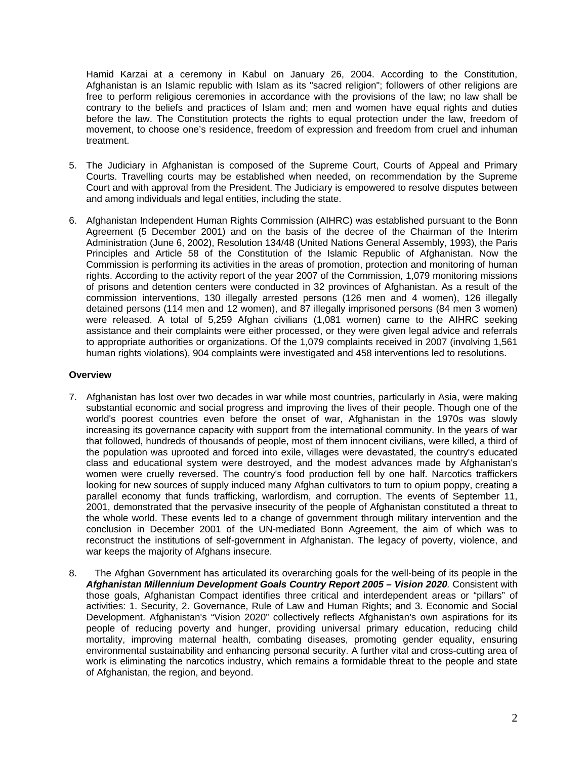Hamid Karzai at a ceremony in Kabul on January 26, 2004. According to the Constitution, Afghanistan is an Islamic republic with Islam as its "sacred religion"; followers of other religions are free to perform religious ceremonies in accordance with the provisions of the law; no law shall be contrary to the beliefs and practices of Islam and; men and women have equal rights and duties before the law. The Constitution protects the rights to equal protection under the law, freedom of movement, to choose one's residence, freedom of expression and freedom from cruel and inhuman treatment.

- 5. The Judiciary in Afghanistan is composed of the Supreme Court, Courts of Appeal and Primary Courts. Travelling courts may be established when needed, on recommendation by the Supreme Court and with approval from the President. The Judiciary is empowered to resolve disputes between and among individuals and legal entities, including the state.
- 6. Afghanistan Independent Human Rights Commission (AIHRC) was established pursuant to the Bonn Agreement (5 December 2001) and on the basis of the decree of the Chairman of the Interim Administration (June 6, 2002), Resolution 134/48 (United Nations General Assembly, 1993), the Paris Principles and Article 58 of the Constitution of the Islamic Republic of Afghanistan. Now the Commission is performing its activities in the areas of promotion, protection and monitoring of human rights. According to the activity report of the year 2007 of the Commission, 1,079 monitoring missions of prisons and detention centers were conducted in 32 provinces of Afghanistan. As a result of the commission interventions, 130 illegally arrested persons (126 men and 4 women), 126 illegally detained persons (114 men and 12 women), and 87 illegally imprisoned persons (84 men 3 women) were released. A total of 5,259 Afghan civilians (1,081 women) came to the AIHRC seeking assistance and their complaints were either processed, or they were given legal advice and referrals to appropriate authorities or organizations. Of the 1,079 complaints received in 2007 (involving 1,561 human rights violations), 904 complaints were investigated and 458 interventions led to resolutions.

#### **Overview**

- 7. Afghanistan has lost over two decades in war while most countries, particularly in Asia, were making substantial economic and social progress and improving the lives of their people. Though one of the world's poorest countries even before the onset of war, Afghanistan in the 1970s was slowly increasing its governance capacity with support from the international community. In the years of war that followed, hundreds of thousands of people, most of them innocent civilians, were killed, a third of the population was uprooted and forced into exile, villages were devastated, the country's educated class and educational system were destroyed, and the modest advances made by Afghanistan's women were cruelly reversed. The country's food production fell by one half. Narcotics traffickers looking for new sources of supply induced many Afghan cultivators to turn to opium poppy, creating a parallel economy that funds trafficking, warlordism, and corruption. The events of September 11, 2001, demonstrated that the pervasive insecurity of the people of Afghanistan constituted a threat to the whole world. These events led to a change of government through military intervention and the conclusion in December 2001 of the UN-mediated Bonn Agreement, the aim of which was to reconstruct the institutions of self-government in Afghanistan. The legacy of poverty, violence, and war keeps the majority of Afghans insecure.
- 8. The Afghan Government has articulated its overarching goals for the well-being of its people in the *Afghanistan Millennium Development Goals Country Report 2005 – Vision 2020.* Consistent with those goals, Afghanistan Compact identifies three critical and interdependent areas or "pillars" of activities: 1. Security, 2. Governance, Rule of Law and Human Rights; and 3. Economic and Social Development. Afghanistan's "Vision 2020" collectively reflects Afghanistan's own aspirations for its people of reducing poverty and hunger, providing universal primary education, reducing child mortality, improving maternal health, combating diseases, promoting gender equality, ensuring environmental sustainability and enhancing personal security. A further vital and cross-cutting area of work is eliminating the narcotics industry, which remains a formidable threat to the people and state of Afghanistan, the region, and beyond.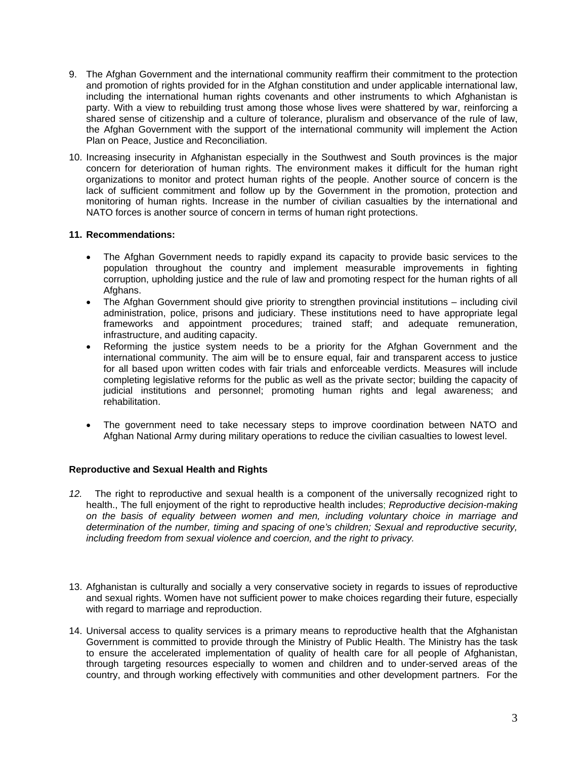- 9. The Afghan Government and the international community reaffirm their commitment to the protection and promotion of rights provided for in the Afghan constitution and under applicable international law, including the international human rights covenants and other instruments to which Afghanistan is party. With a view to rebuilding trust among those whose lives were shattered by war, reinforcing a shared sense of citizenship and a culture of tolerance, pluralism and observance of the rule of law, the Afghan Government with the support of the international community will implement the Action Plan on Peace, Justice and Reconciliation.
- 10. Increasing insecurity in Afghanistan especially in the Southwest and South provinces is the major concern for deterioration of human rights. The environment makes it difficult for the human right organizations to monitor and protect human rights of the people. Another source of concern is the lack of sufficient commitment and follow up by the Government in the promotion, protection and monitoring of human rights. Increase in the number of civilian casualties by the international and NATO forces is another source of concern in terms of human right protections.

# **11. Recommendations:**

- The Afghan Government needs to rapidly expand its capacity to provide basic services to the population throughout the country and implement measurable improvements in fighting corruption, upholding justice and the rule of law and promoting respect for the human rights of all Afghans.
- The Afghan Government should give priority to strengthen provincial institutions including civil administration, police, prisons and judiciary. These institutions need to have appropriate legal frameworks and appointment procedures; trained staff; and adequate remuneration, infrastructure, and auditing capacity.
- Reforming the justice system needs to be a priority for the Afghan Government and the international community. The aim will be to ensure equal, fair and transparent access to justice for all based upon written codes with fair trials and enforceable verdicts. Measures will include completing legislative reforms for the public as well as the private sector; building the capacity of judicial institutions and personnel; promoting human rights and legal awareness; and rehabilitation.
- The government need to take necessary steps to improve coordination between NATO and Afghan National Army during military operations to reduce the civilian casualties to lowest level.

# **Reproductive and Sexual Health and Rights**

- *12.* The right to reproductive and sexual health is a component of the universally recognized right to health., The full enjoyment of the right to reproductive health includes; *Reproductive decision-making on the basis of equality between women and men, including voluntary choice in marriage and determination of the number, timing and spacing of one's children; Sexual and reproductive security, including freedom from sexual violence and coercion, and the right to privacy.*
- 13. Afghanistan is culturally and socially a very conservative society in regards to issues of reproductive and sexual rights. Women have not sufficient power to make choices regarding their future, especially with regard to marriage and reproduction.
- 14. Universal access to quality services is a primary means to reproductive health that the Afghanistan Government is committed to provide through the Ministry of Public Health. The Ministry has the task to ensure the accelerated implementation of quality of health care for all people of Afghanistan, through targeting resources especially to women and children and to under-served areas of the country, and through working effectively with communities and other development partners. For the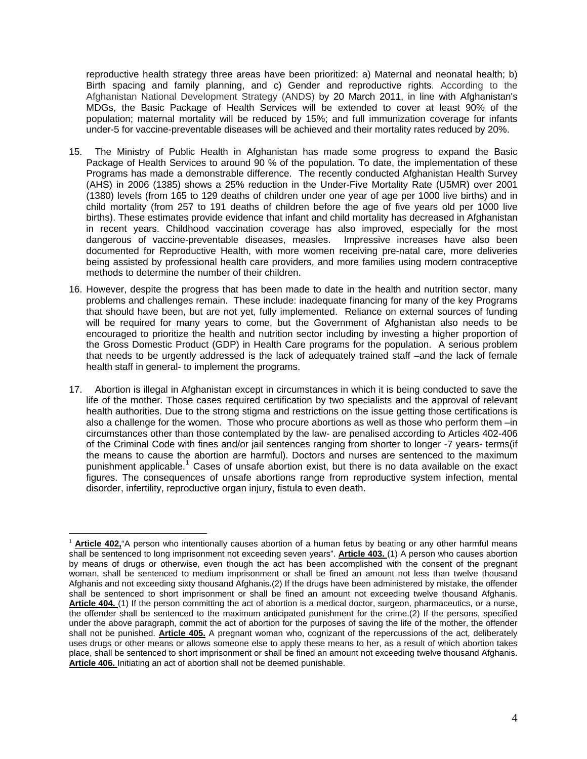reproductive health strategy three areas have been prioritized: a) Maternal and neonatal health; b) Birth spacing and family planning, and c) Gender and reproductive rights. According to the Afghanistan National Development Strategy (ANDS) by 20 March 2011, in line with Afghanistan's MDGs, the Basic Package of Health Services will be extended to cover at least 90% of the population; maternal mortality will be reduced by 15%; and full immunization coverage for infants under-5 for vaccine-preventable diseases will be achieved and their mortality rates reduced by 20%.

- 15. The Ministry of Public Health in Afghanistan has made some progress to expand the Basic Package of Health Services to around 90 % of the population. To date, the implementation of these Programs has made a demonstrable difference. The recently conducted Afghanistan Health Survey (AHS) in 2006 (1385) shows a 25% reduction in the Under-Five Mortality Rate (U5MR) over 2001 (1380) levels (from 165 to 129 deaths of children under one year of age per 1000 live births) and in child mortality (from 257 to 191 deaths of children before the age of five years old per 1000 live births). These estimates provide evidence that infant and child mortality has decreased in Afghanistan in recent years. Childhood vaccination coverage has also improved, especially for the most dangerous of vaccine-preventable diseases, measles. Impressive increases have also been documented for Reproductive Health, with more women receiving pre-natal care, more deliveries being assisted by professional health care providers, and more families using modern contraceptive methods to determine the number of their children.
- 16. However, despite the progress that has been made to date in the health and nutrition sector, many problems and challenges remain. These include: inadequate financing for many of the key Programs that should have been, but are not yet, fully implemented. Reliance on external sources of funding will be required for many years to come, but the Government of Afghanistan also needs to be encouraged to prioritize the health and nutrition sector including by investing a higher proportion of the Gross Domestic Product (GDP) in Health Care programs for the population. A serious problem that needs to be urgently addressed is the lack of adequately trained staff –and the lack of female health staff in general- to implement the programs.
- 17. Abortion is illegal in Afghanistan except in circumstances in which it is being conducted to save the life of the mother. Those cases required certification by two specialists and the approval of relevant health authorities. Due to the strong stigma and restrictions on the issue getting those certifications is also a challenge for the women. Those who procure abortions as well as those who perform them –in circumstances other than those contemplated by the law- are penalised according to Articles 402-406 of the Criminal Code with fines and/or jail sentences ranging from shorter to longer -7 years- terms(if the means to cause the abortion are harmful). Doctors and nurses are sentenced to the maximum punishment applicable.<sup>[1](#page-3-0)</sup> Cases of unsafe abortion exist, but there is no data available on the exact figures. The consequences of unsafe abortions range from reproductive system infection, mental disorder, infertility, reproductive organ injury, fistula to even death.

 $\overline{a}$ 

<span id="page-3-0"></span><sup>&</sup>lt;sup>1</sup> **Article 402**, "A person who intentionally causes abortion of a human fetus by beating or any other harmful means shall be sentenced to long imprisonment not exceeding seven years". **Article 403.** (1) A person who causes abortion by means of drugs or otherwise, even though the act has been accomplished with the consent of the pregnant woman, shall be sentenced to medium imprisonment or shall be fined an amount not less than twelve thousand Afghanis and not exceeding sixty thousand Afghanis.(2) If the drugs have been administered by mistake, the offender shall be sentenced to short imprisonment or shall be fined an amount not exceeding twelve thousand Afghanis. **Article 404.** (1) If the person committing the act of abortion is a medical doctor, surgeon, pharmaceutics, or a nurse, the offender shall be sentenced to the maximum anticipated punishment for the crime.(2) If the persons, specified under the above paragraph, commit the act of abortion for the purposes of saving the life of the mother, the offender shall not be punished. **Article 405.** A pregnant woman who, cognizant of the repercussions of the act, deliberately uses drugs or other means or allows someone else to apply these means to her, as a result of which abortion takes place, shall be sentenced to short imprisonment or shall be fined an amount not exceeding twelve thousand Afghanis. **Article 406.** Initiating an act of abortion shall not be deemed punishable.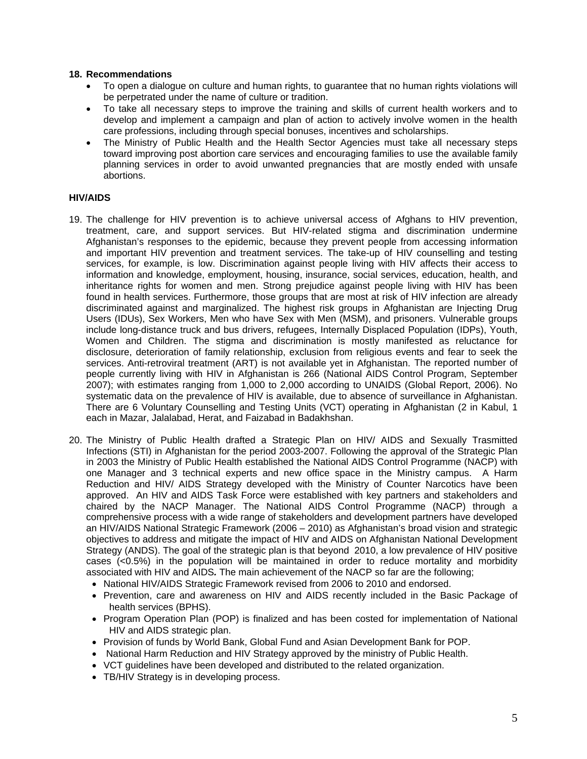#### **18. Recommendations**

- To open a dialogue on culture and human rights, to guarantee that no human rights violations will be perpetrated under the name of culture or tradition.
- To take all necessary steps to improve the training and skills of current health workers and to develop and implement a campaign and plan of action to actively involve women in the health care professions, including through special bonuses, incentives and scholarships.
- The Ministry of Public Health and the Health Sector Agencies must take all necessary steps toward improving post abortion care services and encouraging families to use the available family planning services in order to avoid unwanted pregnancies that are mostly ended with unsafe abortions.

# **HIV/AIDS**

- 19. The challenge for HIV prevention is to achieve universal access of Afghans to HIV prevention, treatment, care, and support services. But HIV-related stigma and discrimination undermine Afghanistan's responses to the epidemic, because they prevent people from accessing information and important HIV prevention and treatment services. The take-up of HIV counselling and testing services, for example, is low. Discrimination against people living with HIV affects their access to information and knowledge, employment, housing, insurance, social services, education, health, and inheritance rights for women and men. Strong prejudice against people living with HIV has been found in health services. Furthermore, those groups that are most at risk of HIV infection are already discriminated against and marginalized. The highest risk groups in Afghanistan are Injecting Drug Users (IDUs), Sex Workers, Men who have Sex with Men (MSM), and prisoners. Vulnerable groups include long-distance truck and bus drivers, refugees, Internally Displaced Population (IDPs), Youth, Women and Children. The stigma and discrimination is mostly manifested as reluctance for disclosure, deterioration of family relationship, exclusion from religious events and fear to seek the services. Anti-retroviral treatment (ART) is not available yet in Afghanistan. The reported number of people currently living with HIV in Afghanistan is 266 (National AIDS Control Program, September 2007); with estimates ranging from 1,000 to 2,000 according to UNAIDS (Global Report, 2006). No systematic data on the prevalence of HIV is available, due to absence of surveillance in Afghanistan. There are 6 Voluntary Counselling and Testing Units (VCT) operating in Afghanistan (2 in Kabul, 1 each in Mazar, Jalalabad, Herat, and Faizabad in Badakhshan.
- 20. The Ministry of Public Health drafted a Strategic Plan on HIV/ AIDS and Sexually Trasmitted Infections (STI) in Afghanistan for the period 2003-2007. Following the approval of the Strategic Plan in 2003 the Ministry of Public Health established the National AIDS Control Programme (NACP) with one Manager and 3 technical experts and new office space in the Ministry campus. A Harm Reduction and HIV/ AIDS Strategy developed with the Ministry of Counter Narcotics have been approved. An HIV and AIDS Task Force were established with key partners and stakeholders and chaired by the NACP Manager. The National AIDS Control Programme (NACP) through a comprehensive process with a wide range of stakeholders and development partners have developed an HIV/AIDS National Strategic Framework (2006 – 2010) as Afghanistan's broad vision and strategic objectives to address and mitigate the impact of HIV and AIDS on Afghanistan National Development Strategy (ANDS). The goal of the strategic plan is that beyond2010, a low prevalence of HIV positive cases (<0.5%) in the population will be maintained in order to reduce mortality and morbidity associated with HIV and AIDS*.* The main achievement of the NACP so far are the following;
	- National HIV/AIDS Strategic Framework revised from 2006 to 2010 and endorsed.
	- Prevention, care and awareness on HIV and AIDS recently included in the Basic Package of health services (BPHS).
	- Program Operation Plan (POP) is finalized and has been costed for implementation of National HIV and AIDS strategic plan.
	- Provision of funds by World Bank, Global Fund and Asian Development Bank for POP.
	- National Harm Reduction and HIV Strategy approved by the ministry of Public Health.
	- VCT guidelines have been developed and distributed to the related organization.
	- TB/HIV Strategy is in developing process.